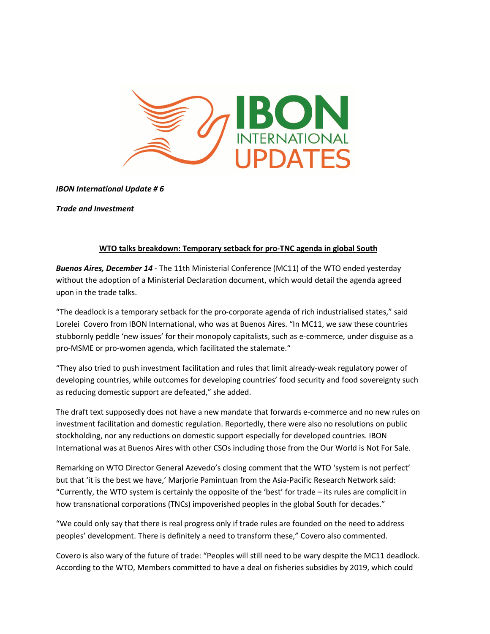

*IBON International Update # 6*

*Trade and Investment*

## **WTO talks breakdown: Temporary setback for pro-TNC agenda in global South**

*Buenos Aires, December 14* - The 11th Ministerial Conference (MC11) of the WTO ended yesterday without the adoption of a Ministerial Declaration document, which would detail the agenda agreed upon in the trade talks.

"The deadlock is a temporary setback for the pro-corporate agenda of rich industrialised states," said Lorelei Covero from IBON International, who was at Buenos Aires. "In MC11, we saw these countries stubbornly peddle 'new issues' for their monopoly capitalists, such as e-commerce, under disguise as a pro-MSME or pro-women agenda, which facilitated the stalemate."

"They also tried to push investment facilitation and rules that limit already-weak regulatory power of developing countries, while outcomes for developing countries' food security and food sovereignty such as reducing domestic support are defeated," she added.

The draft text supposedly does not have a new mandate that forwards e-commerce and no new rules on investment facilitation and domestic regulation. Reportedly, there were also no resolutions on public stockholding, nor any reductions on domestic support especially for developed countries. IBON International was at Buenos Aires with other CSOs including those from the Our World is Not For Sale.

Remarking on WTO Director General Azevedo's closing comment that the WTO 'system is not perfect' but that 'it is the best we have,' Marjorie Pamintuan from the Asia-Pacific Research Network said: "Currently, the WTO system is certainly the opposite of the 'best' for trade – its rules are complicit in how transnational corporations (TNCs) impoverished peoples in the global South for decades."

"We could only say that there is real progress only if trade rules are founded on the need to address peoples' development. There is definitely a need to transform these," Covero also commented.

Covero is also wary of the future of trade: "Peoples will still need to be wary despite the MC11 deadlock. According to the WTO, Members committed to have a deal on fisheries subsidies by 2019, which could